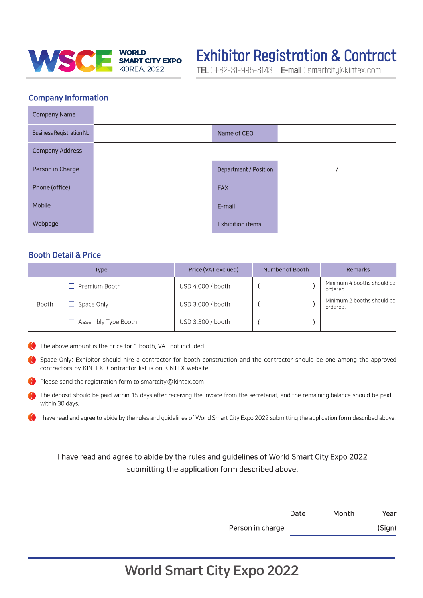

# **Exhibitor Registration & Contract**

TEL : +82-31-995-8143 E-mail : smartcity@kintex.com

## Company Information

| <b>Company Name</b>             |                         |  |
|---------------------------------|-------------------------|--|
| <b>Business Registration No</b> | Name of CEO             |  |
| <b>Company Address</b>          |                         |  |
| Person in Charge                | Department / Position   |  |
| Phone (office)                  | <b>FAX</b>              |  |
| Mobile                          | E-mail                  |  |
| Webpage                         | <b>Exhibition items</b> |  |

## Booth Detail & Price

| <b>Type</b> |                     | Price (VAT exclued) | Number of Booth | <b>Remarks</b>                         |
|-------------|---------------------|---------------------|-----------------|----------------------------------------|
| Booth       | Premium Booth       | USD 4,000 / booth   |                 | Minimum 4 booths should be<br>ordered. |
|             | Space Only          | USD 3,000 / booth   |                 | Minimum 2 booths should be<br>ordered. |
|             | Assembly Type Booth | USD 3,300 / booth   |                 |                                        |

The above amount is the price for 1 booth, VAT not included.

Space Only: Exhibitor should hire a contractor for booth construction and the contractor should be one among the approved contractors by KINTEX. Contractor list is on KINTEX website.

Please send the registration form to smartcity@kintex.com

The deposit should be paid within 15 days after receiving the invoice from the secretariat, and the remaining balance should be paid within 30 days.

I have read and agree to abide by the rules and guidelines of World Smart City Expo 2022 submitting the application form described above.

I have read and agree to abide by the rules and guidelines of World Smart City Expo 2022 submitting the application form described above.

|                  | Date | Month | Year   |
|------------------|------|-------|--------|
| Person in charge |      |       | (Sign) |

## World Smart City Expo 2022